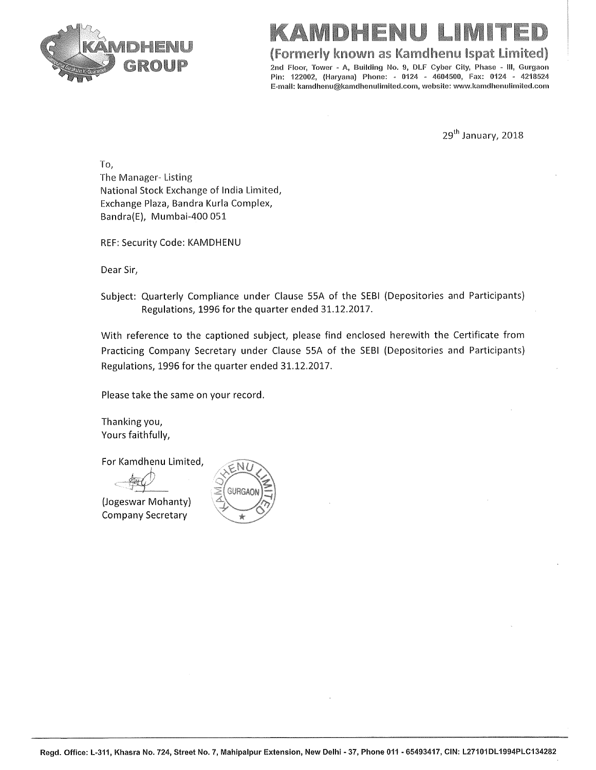

(Formerly known as Kamdhenu Ispat Limited)

2nd Floor. Tower - A. Building No. 9, DLF Cyber City, Phase - III, Gurgaon Pin: 122002, (Haryana) Phone: - 0124 - 4604500, Fax: 0124 - 4218524 E-mail: kamdhenu@kamdhenulimited.com, website: www.kamdhenulimited.com

29<sup>th</sup> January, 2018

To, The Manager-Listing National Stock Exchange of India Limited, Exchange Plaza, Bandra Kurla Complex, Bandra(E), Mumbai-400 051

REF: Security Code: KAMDHENU

Dear Sir,

Subject: Quarterly Compliance under Clause 55A of the SEBI (Depositories and Participants) Regulations, 1996 for the quarter ended 31.12.2017.

With reference to the captioned subject, please find enclosed herewith the Certificate from Practicing Company Secretary under Clause 55A of the SEBI (Depositories and Participants) Regulations, 1996 for the quarter ended 31.12.2017.

Please take the same on your record.

Thanking you, Yours faithfully,

For Kamdhenu Limited,

(Jogeswar Mohanty) **Company Secretary** 

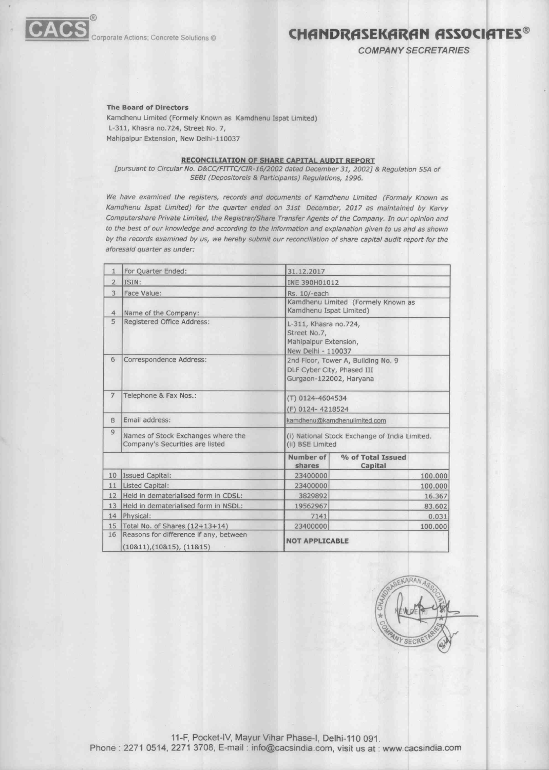

## Corporate Actions; Concrete Solutions © **CHANDRASEKARAN ASSOCIATES**<sup>®</sup>

COMPANY SECRETARIES

#### **The Board of Directors**

Kamdhenu Limited (Formely Known as Kamdhenu Ispat Limited) L-311, Khasra no.724, Street No. 7, Mahipalpur Extension, New Delhi-110037

### **RECONCILIATION OF SHARE CAPITAL AUDIT REPORT**

[pursuant to Circular No. D&CC/FITTC/CIR-16/2002 dated December 31, 2002] & Regulation 55A of 5E81 (Depositoreis & Participants) Regulations, 1996.

We have examined the registers, records and documents of Kamdhenu Limited (Formely Known as Kamdhenu Ispat Limited) for the quarter ended on 31st December, 2017 as maintained by Karvy Computershare Private Limited, the Registrar/Share Transfer Agents of the Company. In our opinion and to the best of our knowledge and according to the information and explanation given to us and as shown by the records examined by us, we hereby submit our reconciliation of share capital audit report for the aforesaid quarter as under:

| 1              | For Quarter Ended:                                                    | 31.12.2017                                                                                  |                              |         |  |
|----------------|-----------------------------------------------------------------------|---------------------------------------------------------------------------------------------|------------------------------|---------|--|
| $\overline{2}$ | ISIN:                                                                 | INE 390H01012                                                                               |                              |         |  |
| 3              | Face Value:                                                           | Rs. 10/-each                                                                                |                              |         |  |
| $\overline{4}$ | Name of the Company:                                                  | Kamdhenu Limited (Formely Known as<br>Kamdhenu Ispat Limited)                               |                              |         |  |
| 5              | Registered Office Address:                                            | L-311, Khasra no.724,<br>Street No.7,<br>Mahipalpur Extension,<br>New Delhi - 110037        |                              |         |  |
| 6              | Correspondence Address:                                               | 2nd Floor, Tower A, Building No. 9<br>DLF Cyber City, Phased III<br>Gurgaon-122002, Haryana |                              |         |  |
| $\overline{7}$ | Telephone & Fax Nos.:                                                 | (T) 0124-4604534<br>(F) 0124-4218524                                                        |                              |         |  |
| 8              | Email address:                                                        | kamdhenu@kamdhenulimited.com                                                                |                              |         |  |
| 9              | Names of Stock Exchanges where the<br>Company's Securities are listed | (i) National Stock Exchange of India Limited.<br>(ii) BSE Limited                           |                              |         |  |
|                |                                                                       | Number of<br>shares                                                                         | % of Total Issued<br>Capital |         |  |
| 10             | Issued Capital:                                                       | 23400000                                                                                    |                              | 100.000 |  |
| 11             | Listed Capital:                                                       | 23400000                                                                                    |                              | 100.000 |  |
| 12             | Held in dematerialised form in CDSL:                                  | 3829892                                                                                     |                              | 16.367  |  |
| 13             | Held in dematerialised form in NSDL:                                  | 19562967                                                                                    |                              | 83.602  |  |
| 14             | Physical:                                                             | 7141                                                                                        |                              | 0.031   |  |
| 15             | Total No. of Shares (12+13+14)                                        | 23400000                                                                                    |                              | 100.000 |  |
| 16             | Reasons for difference if any, between<br>(10811), (10815), (11815)   | <b>NOT APPLICABLE</b>                                                                       |                              |         |  |



11-F, Pocket-IV, Mayur Vihar Phase-I, Delhi-110 091. Phone : 2271 0514, 2271 3708, E-mail : info@cacsindia.com, visit us at : www.cacsindia.com